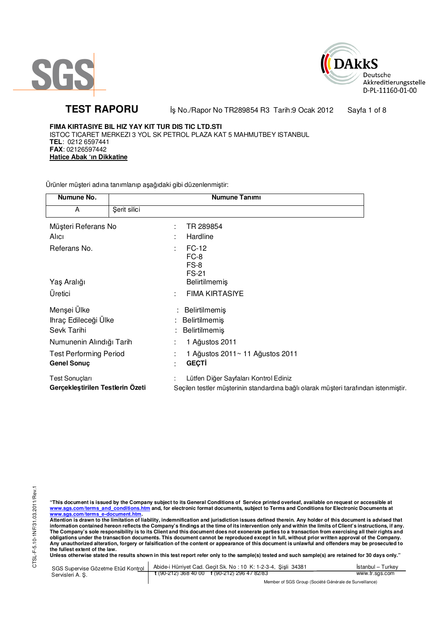



TEST RAPORU **By No./Rapor No TR289854 R3 Tarih:9 Ocak 2012** Sayfa 1 of 8

**FIMA KIRTASIYE BIL HIZ YAY KIT TUR DIS TIC LTD.STI** ISTOC TICARET MERKEZI 3 YOL SK PETROL PLAZA KAT 5 MAHMUTBEY ISTANBUL **TEL**: 0212 6597441 **FAX**: 02126597442 **Hatice Abak 'ın Dikkatine**

Ürünler müşteri adına tanımlanıp aşağıdaki gibi düzenlenmiştir:

| Numune No.                                   |              | <b>Numune Tanımı</b>                                                                |
|----------------------------------------------|--------------|-------------------------------------------------------------------------------------|
| A                                            | Şerit silici |                                                                                     |
| Müşteri Referans No                          |              | TR 289854<br>÷                                                                      |
| Alici                                        |              | Hardline                                                                            |
| Referans No.                                 |              | FC-12<br>÷<br>FC-8<br>FS-8<br><b>FS-21</b>                                          |
| Yaş Aralığı                                  |              | Belirtilmemiş                                                                       |
| Üretici                                      |              | <b>FIMA KIRTASIYE</b>                                                               |
| Menşei Ülke                                  |              | Belirtilmemiş                                                                       |
| Ihraç Edileceği Ülke                         |              | : Belirtilmemiş                                                                     |
| Sevk Tarihi                                  |              | Belirtilmemiş                                                                       |
| Numunenin Alındığı Tarih                     |              | 1 Ağustos 2011                                                                      |
| <b>Test Performing Period</b><br>Genel Sonuç |              | 1 Ağustos 2011~ 11 Ağustos 2011<br><b>GEÇTİ</b><br>٠                                |
| <b>Test Sonuçları</b>                        |              | Lütfen Diğer Sayfaları Kontrol Ediniz                                               |
| Gerçekleştirilen Testlerin Ozeti             |              | Seçilen testler müşterinin standardına bağlı olarak müşteri tarafından istenmiştir. |

"This document is issued by the Company subject to its General Conditions of Service printed overleaf, available on request or accessible at<br>www.sgs.com/terms\_and\_conditions.htm\_and, for electronic format documents, subjec

<mark>www.sgs.com/terms\_e-document.htm.</mark><br>Attention is drawn to the limitation of liability, indemnification and jurisdiction issues defined therein. Any holder of this document is advised that information contained hereon reflects the Company's findings at the time of its intervention only and within the limits of Client's instructions, if any.<br>The Company's sole responsibility is to its Client and this document obligations under the transaction documents. This document cannot be reproduced except in full, without prior written approval of the Company.<br>Any unauthorized alteration, forgery or falsification of the content or appeara

**Unless otherwise stated the results shown in this test report refer only to the sample(s) tested and such sample(s) are retained for 30 days only."** 

| SGS Supervise Gözetme Etüd Kontrol | Abide-i Hürriyet Cad. Gecit Sk. No: 10 K: 1-2-3-4, Sisli 34381       | Istanbul – Turkev |
|------------------------------------|----------------------------------------------------------------------|-------------------|
| Servisleri A. S.                   | $\frac{1}{2}$ (90-212) 368 40 00 $\frac{1}{2}$ (90-212) 296 47 82/83 | www.tr.sgs.com    |
|                                    | Member of SGS Group (Société Générale de Surveillance)               |                   |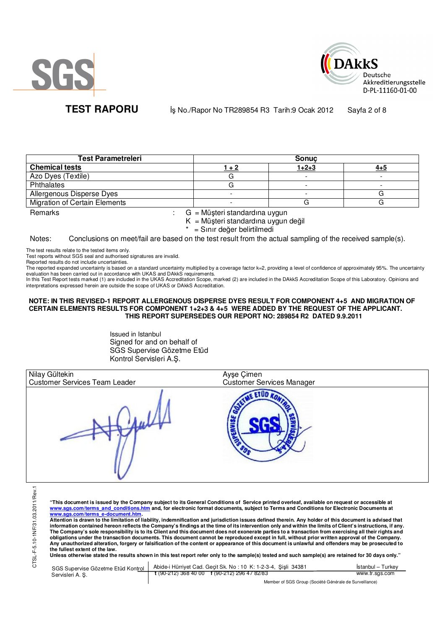



**TEST RAPORU** iş No./Rapor No TR289854 R3 Tarih:9 Ocak 2012 Sayfa 2 of 8

| <b>Test Parametreleri</b>            |       | <b>Sonuc</b> |         |
|--------------------------------------|-------|--------------|---------|
| <b>Chemical tests</b>                | 1 + 2 | $1+2+3$      | $4 + 5$ |
| Azo Dyes (Textile)                   |       |              |         |
| Phthalates                           |       |              |         |
| Allergenous Disperse Dyes            |       |              |         |
| <b>Migration of Certain Elements</b> |       |              |         |

Remarks : G = Müşteri standardına uygun  $K = M\ddot{\mu}$ şteri standardına uygun değil

\* = Sınır değer belirtilmedi

Notes: Conclusions on meet/fail are based on the test result from the actual sampling of the received sample(s).

The test results relate to the tested items only.

Test reports without SGS seal and authorised signatures are invalid.

Reported results do not include uncertainties.

The reported expanded uncertainty is based on a standard uncertainty multiplied by a coverage factor k=2, providing a level of confidence of approximately 95%. The uncertainty evaluation has been carried out in accordance with UKAS and DAkkS requirements.

In this Test Report tests marked (1) are included in the UKAS Accreditation Scope, marked (2) are included in the DAkkS Accreditation Scope of this Laboratory. Opinions and interpretations expressed herein are outside the scope of UKAS or DAkkS Accreditation.

## **NOTE: IN THIS REVISED-1 REPORT ALLERGENOUS DISPERSE DYES RESULT FOR COMPONENT 4+5 AND MIGRATION OF CERTAIN ELEMENTS RESULTS FOR COMPONENT 1+2+3 & 4+5 WERE ADDED BY THE REQUEST OF THE APPLICANT. THIS REPORT SUPERSEDES OUR REPORT NO: 289854 R2 DATED 9.9.2011**

Issued in Istanbul Signed for and on behalf of SGS Supervise Gözetme Etüd Kontrol Servisleri A.Ş.

| Nilay Gültekin<br><b>Customer Services Team Leader</b> | Ayşe Çimen<br>Customer Services Manager |  |
|--------------------------------------------------------|-----------------------------------------|--|
|                                                        |                                         |  |

**"This document is issued by the Company subject to its General Conditions of Service printed overleaf, available on request or accessible at www.sgs.com/terms\_and\_conditions.htm and, for electronic format documents, subject to Terms and Conditions for Electronic Documents at** 

<mark>www.sgs.com/terms\_e-document.htm.</mark><br>Attention is drawn to the limitation of liability, indemnification and jurisdiction issues defined therein. Any holder of this document is advised that information contained hereon reflects the Company's findings at the time of its intervention only and within the limits of Client's instructions, if any.<br>The Company's sole responsibility is to its Client and this document **obligations under the transaction documents. This document cannot be reproduced except in full, without prior written approval of the Company. Any unauthorized alteration, forgery or falsification of the content or appearance of this document is unlawful and offenders may be prosecuted to the fullest extent of the law.** 

**Unless otherwise stated the results shown in this test report refer only to the sample(s) tested and such sample(s) are retained for 30 days only."** 

| SGS Supervise Gözetme Etüd Kontrol | Abide-i Hürriyet Cad. Gecit Sk. No: 10 K: 1-2-3-4, Sisli 34381 | Istanbul – Turkev |
|------------------------------------|----------------------------------------------------------------|-------------------|
| Servisleri A. S.                   | $\frac{1}{2}$ (90-212) 368 40 00 f (90-212) 296 47 82/83       | www.tr.sgs.com    |
|                                    | Member of SGS Group (Société Générale de Surveillance)         |                   |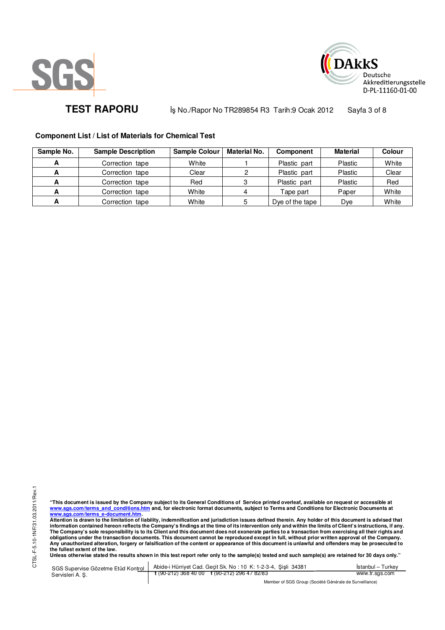



TEST RAPORU **By No./Rapor No TR289854 R3 Tarih:9 Ocak 2012** Sayfa 3 of 8

# **Component List / List of Materials for Chemical Test**

| Sample No. | <b>Sample Description</b> | <b>Sample Colour</b> | Material No. | <b>Component</b> | <b>Material</b> | Colour |
|------------|---------------------------|----------------------|--------------|------------------|-----------------|--------|
|            | Correction tape           | White                |              | Plastic part     | Plastic         | White  |
|            | Correction tape           | Clear                |              | Plastic part     | Plastic         | Clear  |
| А          | Correction tape           | Red                  |              | Plastic part     | Plastic         | Red    |
|            | Correction tape           | White                |              | Tape part        | Paper           | White  |
|            | Correction tape           | White                | 5            | Dye of the tape  | Dve             | White  |

"This document is issued by the Company subject to its General Conditions of Service printed overleaf, available on request or accessible at<br>www.sgs.com/terms\_and\_conditions.htm\_and, for electronic format documents, subjec <mark>www.sgs.com/terms\_e-document.htm.</mark><br>Attention is drawn to the limitation of liability, indemnification and jurisdiction issues defined therein. Any holder of this document is advised that

information contained hereon reflects the Company's findings at the time of its intervention only and within the limits of Client's instructions, if any.<br>The Company's sole responsibility is to its Client and this document **obligations under the transaction documents. This document cannot be reproduced except in full, without prior written approval of the Company. Any unauthorized alteration, forgery or falsification of the content or appearance of this document is unlawful and offenders may be prosecuted to the fullest extent of the law.** 

**Unless otherwise stated the results shown in this test report refer only to the sample(s) tested and such sample(s) are retained for 30 days only."** 

SGS Supervise Gözetme Etüd Kontrol Servisleri A. Ş. Abide-i Hürriyet Cad. Geçit Sk. No : 10 K: 1-2-3-4, Şişli 34381 **t** (90-212) 368 40 00 **f** (90-212) 296 47 82/83 İstanbul – Turkey www.tr.sgs.com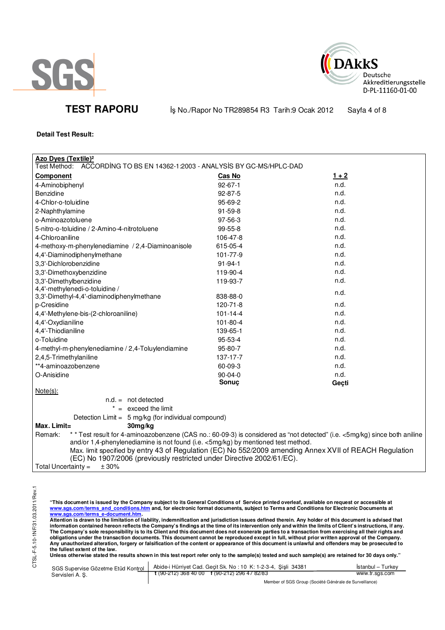

TEST RAPORU **By No./Rapor No TR289854 R3 Tarih:9 Ocak 2012** Sayfa 4 of 8

**DAkkS** 

Deutsche

Akkreditierungsstelle D-PL-11160-01-00

**Detail Test Result:**

| <b>Azo Dyes (Textile)<sup>2</sup></b>                                                                                                                                                        |                |         |  |  |
|----------------------------------------------------------------------------------------------------------------------------------------------------------------------------------------------|----------------|---------|--|--|
| Test Method:<br>ACCORDING TO BS EN 14362-1:2003 - ANALYSIS BY GC-MS/HPLC-DAD                                                                                                                 |                |         |  |  |
| <b>Component</b>                                                                                                                                                                             | Cas No         | $1 + 2$ |  |  |
| 4-Aminobiphenyl                                                                                                                                                                              | $92 - 67 - 1$  | n.d.    |  |  |
| Benzidine                                                                                                                                                                                    | 92-87-5        | n.d.    |  |  |
| 4-Chlor-o-toluidine                                                                                                                                                                          | 95-69-2        | n.d.    |  |  |
| 2-Naphthylamine                                                                                                                                                                              | $91 - 59 - 8$  | n.d.    |  |  |
| o-Aminoazotoluene                                                                                                                                                                            | 97-56-3        | n.d.    |  |  |
| 5-nitro-o-toluidine / 2-Amino-4-nitrotoluene                                                                                                                                                 | 99-55-8        | n.d.    |  |  |
| 4-Chloroaniline                                                                                                                                                                              | 106-47-8       | n.d.    |  |  |
| 4-methoxy-m-phenylenediamine / 2,4-Diaminoanisole                                                                                                                                            | 615-05-4       | n.d.    |  |  |
| 4,4'-Diaminodiphenylmethane                                                                                                                                                                  | 101-77-9       | n.d.    |  |  |
| 3,3'-Dichlorobenzidine                                                                                                                                                                       | $91 - 94 - 1$  | n.d.    |  |  |
| 3,3'-Dimethoxybenzidine                                                                                                                                                                      | 119-90-4       | n.d.    |  |  |
| 3,3'-Dimethylbenzidine                                                                                                                                                                       | 119-93-7       | n.d.    |  |  |
| 4,4'-methylenedi-o-toluidine /                                                                                                                                                               |                | n.d.    |  |  |
| 3,3'-Dimethyl-4,4'-diaminodiphenylmethane                                                                                                                                                    | 838-88-0       |         |  |  |
| p-Cresidine                                                                                                                                                                                  | $120 - 71 - 8$ | n.d.    |  |  |
| 4,4'-Methylene-bis-(2-chloroaniline)                                                                                                                                                         | $101 - 14 - 4$ | n.d.    |  |  |
| 4,4'-Oxydianiline                                                                                                                                                                            | 101-80-4       | n.d.    |  |  |
| 4,4'-Thiodianiline                                                                                                                                                                           | 139-65-1       | n.d.    |  |  |
| o-Toluidine                                                                                                                                                                                  | 95-53-4        | n.d.    |  |  |
| 4-methyl-m-phenylenediamine / 2,4-Toluylendiamine                                                                                                                                            | 95-80-7        | n.d.    |  |  |
| 2,4,5-Trimethylaniline                                                                                                                                                                       | 137-17-7       | n.d.    |  |  |
| **4-aminoazobenzene                                                                                                                                                                          | 60-09-3        | n.d.    |  |  |
| O-Anisidine                                                                                                                                                                                  | 90-04-0        | n.d.    |  |  |
|                                                                                                                                                                                              | Sonuç          | Geçti   |  |  |
| $Note(s)$ :                                                                                                                                                                                  |                |         |  |  |
| $n.d. = not detected$                                                                                                                                                                        |                |         |  |  |
| $* =$ exceed the limit                                                                                                                                                                       |                |         |  |  |
| Detection Limit = 5 mg/kg (for individual compound)                                                                                                                                          |                |         |  |  |
| Max. Limit=<br>30mg/kg                                                                                                                                                                       |                |         |  |  |
| * * Test result for 4-aminoazobenzene (CAS no.: 60-09-3) is considered as "not detected" (i.e. <5mg/kg) since both aniline<br>Remark:                                                        |                |         |  |  |
| and/or 1,4-phenylenediamine is not found (i.e. <5mg/kg) by mentioned test method.<br>Max. limit specified by entry 43 of Regulation (EC) No 552/2009 amending Annex XVII of REACH Regulation |                |         |  |  |
| (EC) No 1907/2006 (previously restricted under Directive 2002/61/EC).                                                                                                                        |                |         |  |  |
| Total Uncertainty $=$<br>± 30%                                                                                                                                                               |                |         |  |  |
|                                                                                                                                                                                              |                |         |  |  |

CTSL-F-5.10-1NF/31.03.2011/Rev.1 CTSL-F-5.10-1NF/31.03.2011/Rev.1

"This document is issued by the Company subject to its General Conditions of Service printed overleaf, available on request or accessible at<br>www.sgs.com/terms\_and\_conditions.htm\_and, for electronic format documents, subjec

<u>www.sgs.com/terms\_e-document.htm.</u><br>Attention is drawn to the limitation of liability, indemnification and jurisdiction issues defined therein. Any holder of this document is advised that<br>information contained hereon refle obligations under the transaction documents. This document cannot be reproduced except in full, without prior written approval of the Company.<br>Any unauthorized alteration, forgery or falsification of the content or appeara

**Unless otherwise stated the results shown in this test report refer only to the sample(s) tested and such sample(s) are retained for 30 days only."** 

|                  | SGS Supervise Gözetme Etüd Kontrol   Abide-i Hürriyet Cad. Geçit Sk. No: 10 K: 1-2-3-4, Şişli 34381 | <b>Istanbul</b> – Turkey |
|------------------|-----------------------------------------------------------------------------------------------------|--------------------------|
| Servisleri A. S. | $\frac{1}{2}$ (90-212) 368 40 00 f (90-212) 296 47 82/83                                            | www.tr.sgs.com           |
|                  | $111100001010111011011$                                                                             |                          |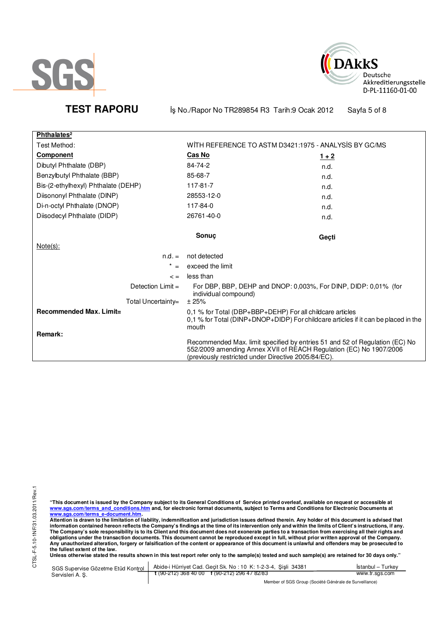



TEST RAPORU **By No./Rapor No TR289854 R3 Tarih:9 Ocak 2012** Sayfa 5 of 8

| Phthalates <sup>2</sup>             |                                                                                                                                                                                                          |         |
|-------------------------------------|----------------------------------------------------------------------------------------------------------------------------------------------------------------------------------------------------------|---------|
| Test Method:                        | WITH REFERENCE TO ASTM D3421:1975 - ANALYSIS BY GC/MS                                                                                                                                                    |         |
| <b>Component</b>                    | Cas No                                                                                                                                                                                                   | $1 + 2$ |
| Dibutyl Phthalate (DBP)             | 84-74-2                                                                                                                                                                                                  | n.d.    |
| Benzylbutyl Phthalate (BBP)         | 85-68-7                                                                                                                                                                                                  | n.d.    |
| Bis-(2-ethylhexyl) Phthalate (DEHP) | 117-81-7                                                                                                                                                                                                 | n.d.    |
| Diisononyl Phthalate (DINP)         | 28553-12-0                                                                                                                                                                                               | n.d.    |
| Di-n-octyl Phthalate (DNOP)         | 117-84-0                                                                                                                                                                                                 | n.d.    |
| Diisodecyl Phthalate (DIDP)         | 26761-40-0                                                                                                                                                                                               | n.d.    |
|                                     | Sonuc                                                                                                                                                                                                    | Geçti   |
| Note(s):                            |                                                                                                                                                                                                          |         |
| $n.d. =$                            | not detected                                                                                                                                                                                             |         |
| *<br>$=$                            | exceed the limit                                                                                                                                                                                         |         |
| $\leq$ =                            | less than                                                                                                                                                                                                |         |
| Detection $Limit =$                 | For DBP, BBP, DEHP and DNOP: 0,003%, For DINP, DIDP: 0,01% (for<br>individual compound)                                                                                                                  |         |
| Total Uncertainty=                  | ± 25%                                                                                                                                                                                                    |         |
| Recommended Max. Limit=<br>Remark:  | 0,1 % for Total (DBP+BBP+DEHP) For all childcare articles<br>0,1 % for Total (DINP+DNOP+DIDP) For childcare articles if it can be placed in the<br>mouth                                                 |         |
|                                     | Recommended Max. limit specified by entries 51 and 52 of Regulation (EC) No<br>552/2009 amending Annex XVII of REACH Regulation (EC) No 1907/2006<br>(previously restricted under Directive 2005/84/EC). |         |

"This document is issued by the Company subject to its General Conditions of Service printed overleaf, available on request or accessible at<br>www.sgs.com/terms\_and\_conditions.htm\_and, for electronic format documents, subjec

<u>www.sgs.com/terms\_e-document.htm.</u><br>Attention is drawn to the limitation of liability, indemnification and jurisdiction issues defined therein. Any holder of this document is advised that<br>information contained hereon refle obligations under the transaction documents. This document cannot be reproduced except in full, without prior written approval of the Company.<br>Any unauthorized alteration, forgery or falsification of the content or appeara

**Unless otherwise stated the results shown in this test report refer only to the sample(s) tested and such sample(s) are retained for 30 days only."** 

| SGS Supervise Gözetme Etüd Kontrol | Abide-i Hürriyet Cad. Geçit Sk. No: 10 K: 1-2-3-4, Şişli 34381 | İstanbul – Turkev |
|------------------------------------|----------------------------------------------------------------|-------------------|
| Servisleri A. S.                   | $\frac{1}{2}$ (90-212) 368 40 00 f (90-212) 296 47 82/83       | www.tr.sgs.com    |
|                                    | Mombor of SCS Group (Société Générale de Survoillance)         |                   |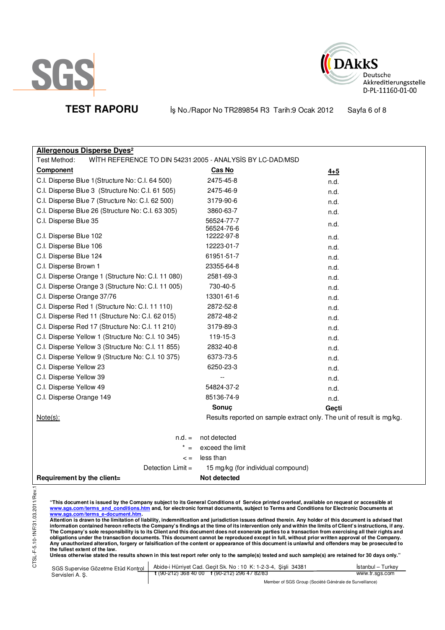





TEST RAPORU **By No./Rapor No TR289854 R3 Tarih:9 Ocak 2012** Sayfa 6 of 8

| <b>Allergenous Disperse Dyes<sup>2</sup></b>                              |                                                                       |         |
|---------------------------------------------------------------------------|-----------------------------------------------------------------------|---------|
| Test Method:<br>WITH REFERENCE TO DIN 54231:2005 - ANALYSIS BY LC-DAD/MSD |                                                                       |         |
| Component                                                                 | Cas No                                                                | $4 + 5$ |
| C.I. Disperse Blue 1 (Structure No: C.I. 64 500)                          | 2475-45-8                                                             | n.d.    |
| C.I. Disperse Blue 3 (Structure No: C.I. 61 505)                          | 2475-46-9                                                             | n.d.    |
| C.I. Disperse Blue 7 (Structure No: C.I. 62 500)                          | 3179-90-6                                                             | n.d.    |
| C.I. Disperse Blue 26 (Structure No: C.I. 63 305)                         | 3860-63-7                                                             | n.d.    |
| C.I. Disperse Blue 35                                                     | 56524-77-7<br>56524-76-6                                              | n.d.    |
| C.I. Disperse Blue 102                                                    | 12222-97-8                                                            | n.d.    |
| C.I. Disperse Blue 106                                                    | 12223-01-7                                                            | n.d.    |
| C.I. Disperse Blue 124                                                    | 61951-51-7                                                            | n.d.    |
| C.I. Disperse Brown 1                                                     | 23355-64-8                                                            | n.d.    |
| C.I. Disperse Orange 1 (Structure No: C.I. 11 080)                        | 2581-69-3                                                             | n.d.    |
| C.I. Disperse Orange 3 (Structure No: C.I. 11 005)                        | 730-40-5                                                              | n.d.    |
| C.I. Disperse Orange 37/76                                                | 13301-61-6                                                            | n.d.    |
| C.I. Disperse Red 1 (Structure No: C.I. 11 110)                           | 2872-52-8                                                             | n.d.    |
| C.I. Disperse Red 11 (Structure No: C.I. 62 015)                          | 2872-48-2                                                             | n.d.    |
| C.I. Disperse Red 17 (Structure No: C.I. 11 210)                          | 3179-89-3                                                             | n.d.    |
| C.I. Disperse Yellow 1 (Structure No: C.I. 10 345)                        | 119-15-3                                                              | n.d.    |
| C.I. Disperse Yellow 3 (Structure No: C.I. 11 855)                        | 2832-40-8                                                             | n.d.    |
| C.I. Disperse Yellow 9 (Structure No: C.I. 10 375)                        | 6373-73-5                                                             | n.d.    |
| C.I. Disperse Yellow 23                                                   | 6250-23-3                                                             | n.d.    |
| C.I. Disperse Yellow 39                                                   | $\overline{a}$                                                        | n.d.    |
| C.I. Disperse Yellow 49                                                   | 54824-37-2                                                            | n.d.    |
| C.I. Disperse Orange 149                                                  | 85136-74-9                                                            | n.d.    |
|                                                                           | Sonuç                                                                 | Geçti   |
| $Note(s)$ :                                                               | Results reported on sample extract only. The unit of result is mg/kg. |         |
| $n.d. =$                                                                  | not detected                                                          |         |
|                                                                           | exceed the limit                                                      |         |
| $\leq$ $=$                                                                | less than                                                             |         |
| Detection Limit =                                                         | 15 mg/kg (for individual compound)                                    |         |
| Requirement by the client=                                                | Not detected                                                          |         |
|                                                                           |                                                                       |         |

"This document is issued by the Company subject to its General Conditions of Service printed overleaf, available on request or accessible at<br>www.sgs.com/terms\_and\_conditions.htm\_and, for electronic format documents, subjec

<u>www.sgs.com/terms\_e-document.htm.</u><br>Attention is drawn to the limitation of liability, indemnification and jurisdiction issues defined therein. Any holder of this document is advised that<br>information contained hereon refle obligations under the transaction documents. This document cannot be reproduced except in full, without prior written approval of the Company.<br>Any unauthorized alteration, forgery or falsification of the content or appeara

**Unless otherwise stated the results shown in this test report refer only to the sample(s) tested and such sample(s) are retained for 30 days only."** 

| SGS Supervise Gözetme Etüd Kontrol | Abide-i Hürriyet Cad. Gecit Sk. No: 10 K: 1-2-3-4, Sisli 34381       | Istanbul – Turkev |
|------------------------------------|----------------------------------------------------------------------|-------------------|
| Servisleri A. S.                   | $\frac{1}{2}$ (90-212) 368 40 00 $\frac{1}{2}$ (90-212) 296 47 82/83 | www.tr.sgs.com    |
|                                    | Member of SGS Group (Société Générale de Surveillance)               |                   |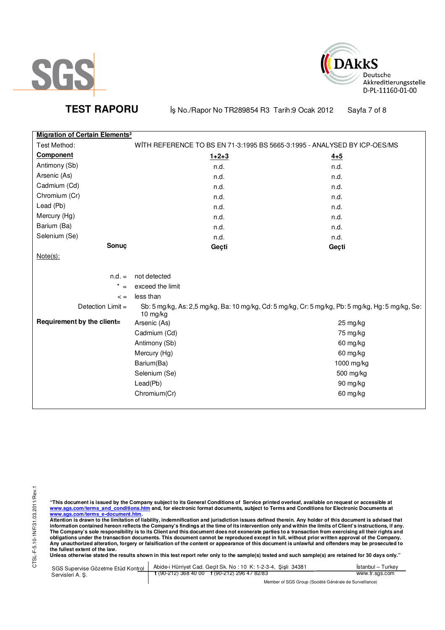

TEST RAPORU **By No./Rapor No TR289854 R3 Tarih:9 Ocak 2012** Sayfa 7 of 8

**DAkkS** 

Deutsche

Akkreditierungsstelle D-PL-11160-01-00

| <b>Migration of Certain Elements<sup>2</sup></b> |                                                                                                                 |            |
|--------------------------------------------------|-----------------------------------------------------------------------------------------------------------------|------------|
| Test Method:                                     | WITH REFERENCE TO BS EN 71-3:1995 BS 5665-3:1995 - ANALYSED BY ICP-OES/MS                                       |            |
| <b>Component</b>                                 | $1+2+3$                                                                                                         | $4 + 5$    |
| Antimony (Sb)                                    | n.d.                                                                                                            | n.d.       |
| Arsenic (As)                                     | n.d.                                                                                                            | n.d.       |
| Cadmium (Cd)                                     | n.d.                                                                                                            | n.d.       |
| Chromium (Cr)                                    | n.d.                                                                                                            | n.d.       |
| Lead (Pb)                                        | n.d.                                                                                                            | n.d.       |
| Mercury (Hg)                                     | n.d.                                                                                                            | n.d.       |
| Barium (Ba)                                      | n.d.                                                                                                            | n.d.       |
| Selenium (Se)                                    | n.d.                                                                                                            | n.d.       |
| Sonuç                                            | Geçti                                                                                                           | Geçti      |
| $Note(s)$ :                                      |                                                                                                                 |            |
|                                                  |                                                                                                                 |            |
| $n.d. =$                                         | not detected                                                                                                    |            |
| $* =$                                            | exceed the limit                                                                                                |            |
| $\lt$ =                                          | less than                                                                                                       |            |
| Detection $Limit =$                              | Sb: 5 mg/kg, As: 2,5 mg/kg, Ba: 10 mg/kg, Cd: 5 mg/kg, Cr: 5 mg/kg, Pb: 5 mg/kg, Hg: 5 mg/kg, Se:<br>$10$ mg/kg |            |
| Requirement by the client=                       | Arsenic (As)                                                                                                    | 25 mg/kg   |
|                                                  | Cadmium (Cd)                                                                                                    | 75 mg/kg   |
|                                                  | Antimony (Sb)                                                                                                   | 60 mg/kg   |
|                                                  | Mercury (Hg)                                                                                                    | 60 mg/kg   |
|                                                  | Barium(Ba)                                                                                                      | 1000 mg/kg |
|                                                  | Selenium (Se)                                                                                                   | 500 mg/kg  |
|                                                  | Lead(Pb)                                                                                                        | 90 mg/kg   |
|                                                  | Chromium(Cr)                                                                                                    | 60 mg/kg   |
|                                                  |                                                                                                                 |            |

"This document is issued by the Company subject to its General Conditions of Service printed overleaf, available on request or accessible at<br>www.sgs.com/terms\_and\_conditions.htm\_and, for electronic format documents, subjec

<u>www.sgs.com/terms\_e-document.htm.</u><br>Attention is drawn to the limitation of liability, indemnification and jurisdiction issues defined therein. Any holder of this document is advised that<br>information contained hereon refle obligations under the transaction documents. This document cannot be reproduced except in full, without prior written approval of the Company.<br>Any unauthorized alteration, forgery or falsification of the content or appeara

**Unless otherwise stated the results shown in this test report refer only to the sample(s) tested and such sample(s) are retained for 30 days only."** 

| SGS Supervise Gözetme Etüd Kontrol | Abide-i Hürriyet Cad. Gecit Sk. No: 10 K: 1-2-3-4, Sisli 34381       | Istanbul – Turkev |
|------------------------------------|----------------------------------------------------------------------|-------------------|
| Servisleri A. S.                   | $\frac{1}{2}$ (90-212) 368 40 00 $\frac{1}{2}$ (90-212) 296 47 82/83 | www.tr.sgs.com    |
|                                    | Member of SGS Group (Société Générale de Surveillance)               |                   |